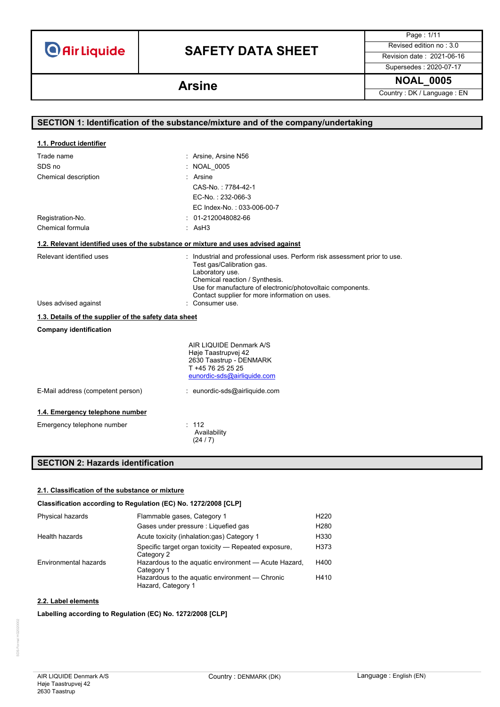# **SAFETY DATA SHEET** Revised edition no : 3.0

Page : 1/11

Supersedes : 2020-07-17

**NOAL\_0005 Arsine** Country : DK / Language : EN

| SECTION 1: Identification of the substance/mixture and of the company/undertaking  |                                                                                                                                                                                                                         |  |
|------------------------------------------------------------------------------------|-------------------------------------------------------------------------------------------------------------------------------------------------------------------------------------------------------------------------|--|
|                                                                                    |                                                                                                                                                                                                                         |  |
| 1.1. Product identifier                                                            |                                                                                                                                                                                                                         |  |
| Trade name                                                                         | : Arsine, Arsine N56                                                                                                                                                                                                    |  |
| SDS no                                                                             | : NOAL 0005                                                                                                                                                                                                             |  |
| Chemical description                                                               | Arsine                                                                                                                                                                                                                  |  |
|                                                                                    | CAS-No.: 7784-42-1                                                                                                                                                                                                      |  |
|                                                                                    | EC-No.: 232-066-3                                                                                                                                                                                                       |  |
|                                                                                    | EC Index-No.: 033-006-00-7                                                                                                                                                                                              |  |
| Registration-No.                                                                   | 01-2120048082-66                                                                                                                                                                                                        |  |
| Chemical formula                                                                   | : AsH3                                                                                                                                                                                                                  |  |
| 1.2. Relevant identified uses of the substance or mixture and uses advised against |                                                                                                                                                                                                                         |  |
| Relevant identified uses                                                           | Industrial and professional uses. Perform risk assessment prior to use.<br>Test gas/Calibration gas.<br>Laboratory use.<br>Chemical reaction / Synthesis.<br>Use for manufacture of electronic/photovoltaic components. |  |
| Uses advised against                                                               | Contact supplier for more information on uses.<br>: Consumer use.                                                                                                                                                       |  |
| 1.3. Details of the supplier of the safety data sheet                              |                                                                                                                                                                                                                         |  |
| <b>Company identification</b>                                                      |                                                                                                                                                                                                                         |  |
|                                                                                    | AIR LIQUIDE Denmark A/S<br>Høje Taastrupvej 42<br>2630 Taastrup - DENMARK<br>T +45 76 25 25 25<br>eunordic-sds@airliquide.com                                                                                           |  |
| E-Mail address (competent person)                                                  | : eunordic-sds@airliquide.com                                                                                                                                                                                           |  |
| 1.4. Emergency telephone number                                                    |                                                                                                                                                                                                                         |  |
| Emergency telephone number                                                         | : 112<br>Availability<br>(24/7)                                                                                                                                                                                         |  |

## **SECTION 2: Hazards identification**

### **2.1. Classification of the substance or mixture**

### **Classification according to Regulation (EC) No. 1272/2008 [CLP]**

| Physical hazards      | Flammable gases, Category 1                                          | H <sub>220</sub> |
|-----------------------|----------------------------------------------------------------------|------------------|
|                       | Gases under pressure : Liquefied gas                                 | H <sub>280</sub> |
| Health hazards        | Acute toxicity (inhalation:gas) Category 1                           | H330             |
|                       | Specific target organ toxicity – Repeated exposure,<br>Category 2    | H373             |
| Environmental hazards | Hazardous to the aquatic environment - Acute Hazard,<br>Category 1   | H400             |
|                       | Hazardous to the aquatic environment — Chronic<br>Hazard, Category 1 | H410             |

### **2.2. Label elements**

### **Labelling according to Regulation (EC) No. 1272/2008 [CLP]**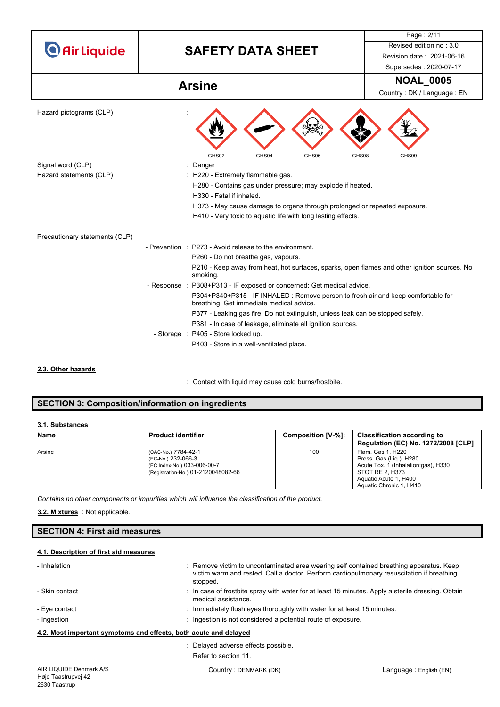|                                | <b>O</b> Air Liquide<br><b>SAFETY DATA SHEET</b>                                                                              | Revised edition no: 3.0    |
|--------------------------------|-------------------------------------------------------------------------------------------------------------------------------|----------------------------|
|                                |                                                                                                                               | Revision date: 2021-06-16  |
|                                |                                                                                                                               | Supersedes: 2020-07-17     |
| <b>Arsine</b>                  |                                                                                                                               | <b>NOAL_0005</b>           |
|                                |                                                                                                                               | Country: DK / Language: EN |
| Hazard pictograms (CLP)        | GHS02<br>GHS04<br>GHS06                                                                                                       | GHS08<br>GHS09             |
| Signal word (CLP)              | : Danger                                                                                                                      |                            |
| Hazard statements (CLP)        | : H220 - Extremely flammable gas.                                                                                             |                            |
|                                | H280 - Contains gas under pressure; may explode if heated.<br>H330 - Fatal if inhaled.                                        |                            |
|                                | H373 - May cause damage to organs through prolonged or repeated exposure.                                                     |                            |
|                                | H410 - Very toxic to aquatic life with long lasting effects.                                                                  |                            |
| Precautionary statements (CLP) |                                                                                                                               |                            |
|                                | - Prevention : P273 - Avoid release to the environment.                                                                       |                            |
|                                | P260 - Do not breathe gas, vapours.                                                                                           |                            |
|                                | P210 - Keep away from heat, hot surfaces, sparks, open flames and other ignition sources. No<br>smoking.                      |                            |
|                                | - Response : P308+P313 - IF exposed or concerned: Get medical advice.                                                         |                            |
|                                | P304+P340+P315 - IF INHALED : Remove person to fresh air and keep comfortable for<br>breathing. Get immediate medical advice. |                            |
|                                | P377 - Leaking gas fire: Do not extinguish, unless leak can be stopped safely.                                                |                            |
|                                | P381 - In case of leakage, eliminate all ignition sources.                                                                    |                            |
|                                | - Storage : P405 - Store locked up.                                                                                           |                            |
|                                | P403 - Store in a well-ventilated place.                                                                                      |                            |

### **2.3. Other hazards**

: Contact with liquid may cause cold burns/frostbite.

## **SECTION 3: Composition/information on ingredients**

### **3.1. Substances**

| <b>Name</b> | <b>Product identifier</b>                                                                                       | Composition [V-%]: | <b>Classification according to</b><br>Regulation (EC) No. 1272/2008 [CLP]                                                                                  |
|-------------|-----------------------------------------------------------------------------------------------------------------|--------------------|------------------------------------------------------------------------------------------------------------------------------------------------------------|
| Arsine      | (CAS-No.) 7784-42-1<br>(EC-No.) 232-066-3<br>(EC Index-No.) 033-006-00-7<br>(Registration-No.) 01-2120048082-66 | 100                | Flam. Gas 1, H220<br>Press. Gas (Lig.), H280<br>Acute Tox. 1 (Inhalation:gas), H330<br>STOT RE 2. H373<br>Aquatic Acute 1, H400<br>Aquatic Chronic 1, H410 |

*Contains no other components or impurities which will influence the classification of the product.*

: Not applicable. **3.2. Mixtures**

## **SECTION 4: First aid measures**

### **4.1. Description of first aid measures**

| - Inhalation                                                     | : Remove victim to uncontaminated area wearing self contained breathing apparatus. Keep<br>victim warm and rested. Call a doctor. Perform cardiopulmonary resuscitation if breathing<br>stopped. |
|------------------------------------------------------------------|--------------------------------------------------------------------------------------------------------------------------------------------------------------------------------------------------|
| - Skin contact                                                   | : In case of frostbite spray with water for at least 15 minutes. Apply a sterile dressing. Obtain<br>medical assistance.                                                                         |
| - Eye contact                                                    | $\therefore$ Immediately flush eyes thoroughly with water for at least 15 minutes.                                                                                                               |
| - Ingestion                                                      | : Ingestion is not considered a potential route of exposure.                                                                                                                                     |
| 4.2. Most important symptoms and effects, both acute and delayed |                                                                                                                                                                                                  |

Refer to section 11.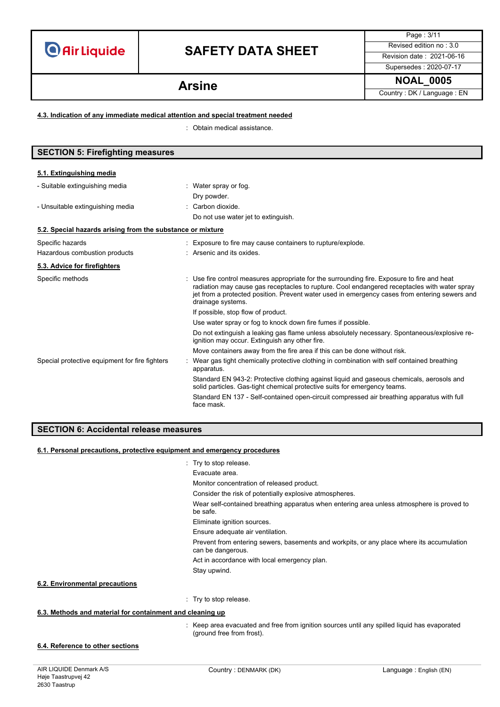# **SAFETY DATA SHEET** Revised edition no : 3.0

Page : 3/11

Supersedes : 2020-07-17 **NOAL\_0005 Arsine**

Country : DK / Language : EN

### **4.3. Indication of any immediate medical attention and special treatment needed**

: Obtain medical assistance.

| <b>SECTION 5: Firefighting measures</b>                            |                                                                                                                                                                                                                                                                                                                 |  |
|--------------------------------------------------------------------|-----------------------------------------------------------------------------------------------------------------------------------------------------------------------------------------------------------------------------------------------------------------------------------------------------------------|--|
| 5.1. Extinguishing media                                           |                                                                                                                                                                                                                                                                                                                 |  |
| - Suitable extinguishing media<br>- Unsuitable extinguishing media | : Water spray or fog.<br>Dry powder.<br>: Carbon dioxide.<br>Do not use water jet to extinguish.                                                                                                                                                                                                                |  |
| 5.2. Special hazards arising from the substance or mixture         |                                                                                                                                                                                                                                                                                                                 |  |
| Specific hazards<br>Hazardous combustion products                  | Exposure to fire may cause containers to rupture/explode.<br>: Arsenic and its oxides.                                                                                                                                                                                                                          |  |
| 5.3. Advice for firefighters                                       |                                                                                                                                                                                                                                                                                                                 |  |
| Specific methods                                                   | Use fire control measures appropriate for the surrounding fire. Exposure to fire and heat<br>radiation may cause gas receptacles to rupture. Cool endangered receptacles with water spray<br>jet from a protected position. Prevent water used in emergency cases from entering sewers and<br>drainage systems. |  |
|                                                                    | If possible, stop flow of product.                                                                                                                                                                                                                                                                              |  |
|                                                                    | Use water spray or fog to knock down fire fumes if possible.                                                                                                                                                                                                                                                    |  |
|                                                                    | Do not extinguish a leaking gas flame unless absolutely necessary. Spontaneous/explosive re-<br>ignition may occur. Extinguish any other fire.                                                                                                                                                                  |  |
|                                                                    | Move containers away from the fire area if this can be done without risk.                                                                                                                                                                                                                                       |  |
| Special protective equipment for fire fighters                     | Wear gas tight chemically protective clothing in combination with self contained breathing<br>apparatus.                                                                                                                                                                                                        |  |
|                                                                    | Standard EN 943-2: Protective clothing against liquid and gaseous chemicals, aerosols and<br>solid particles. Gas-tight chemical protective suits for emergency teams.                                                                                                                                          |  |
|                                                                    | Standard EN 137 - Self-contained open-circuit compressed air breathing apparatus with full<br>face mask.                                                                                                                                                                                                        |  |

### **SECTION 6: Accidental release measures**

### **6.1. Personal precautions, protective equipment and emergency procedures**

- : Try to stop release.
- Evacuate area.

Monitor concentration of released product.

Consider the risk of potentially explosive atmospheres.

Wear self-contained breathing apparatus when entering area unless atmosphere is proved to be safe.

Eliminate ignition sources.

Ensure adequate air ventilation.

Prevent from entering sewers, basements and workpits, or any place where its accumulation can be dangerous.

Act in accordance with local emergency plan.

Stay upwind.

### **6.2. Environmental precautions**

: Try to stop release.

### **6.3. Methods and material for containment and cleaning up**

- : Keep area evacuated and free from ignition sources until any spilled liquid has evaporated (ground free from frost).
- **6.4. Reference to other sections**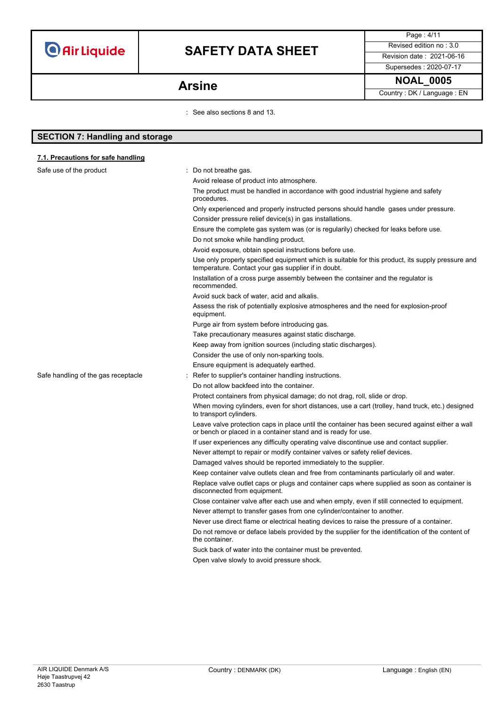**SECTION 7: Handling and storage**

# **SAFETY DATA SHEET** Revised edition no : 3.0

Supersedes : 2020-07-17

Country : DK / Language : EN

Page : 4/11

## **NOAL\_0005 Arsine**

: See also sections 8 and 13.

| 7.1. Precautions for safe handling  |                                                                                                                                                                  |
|-------------------------------------|------------------------------------------------------------------------------------------------------------------------------------------------------------------|
| Safe use of the product             | : Do not breathe gas.                                                                                                                                            |
|                                     | Avoid release of product into atmosphere.                                                                                                                        |
|                                     | The product must be handled in accordance with good industrial hygiene and safety<br>procedures.                                                                 |
|                                     | Only experienced and properly instructed persons should handle gases under pressure.                                                                             |
|                                     | Consider pressure relief device(s) in gas installations.                                                                                                         |
|                                     | Ensure the complete gas system was (or is regularily) checked for leaks before use.                                                                              |
|                                     | Do not smoke while handling product.                                                                                                                             |
|                                     | Avoid exposure, obtain special instructions before use.                                                                                                          |
|                                     | Use only properly specified equipment which is suitable for this product, its supply pressure and<br>temperature. Contact your gas supplier if in doubt.         |
|                                     | Installation of a cross purge assembly between the container and the regulator is<br>recommended.                                                                |
|                                     | Avoid suck back of water, acid and alkalis.                                                                                                                      |
|                                     | Assess the risk of potentially explosive atmospheres and the need for explosion-proof<br>equipment.                                                              |
|                                     | Purge air from system before introducing gas.                                                                                                                    |
|                                     | Take precautionary measures against static discharge.                                                                                                            |
|                                     | Keep away from ignition sources (including static discharges).                                                                                                   |
|                                     | Consider the use of only non-sparking tools.                                                                                                                     |
|                                     | Ensure equipment is adequately earthed.                                                                                                                          |
| Safe handling of the gas receptacle | Refer to supplier's container handling instructions.                                                                                                             |
|                                     | Do not allow backfeed into the container.                                                                                                                        |
|                                     | Protect containers from physical damage; do not drag, roll, slide or drop.                                                                                       |
|                                     | When moving cylinders, even for short distances, use a cart (trolley, hand truck, etc.) designed<br>to transport cylinders.                                      |
|                                     | Leave valve protection caps in place until the container has been secured against either a wall<br>or bench or placed in a container stand and is ready for use. |
|                                     | If user experiences any difficulty operating valve discontinue use and contact supplier.                                                                         |
|                                     | Never attempt to repair or modify container valves or safety relief devices.                                                                                     |
|                                     | Damaged valves should be reported immediately to the supplier.                                                                                                   |
|                                     | Keep container valve outlets clean and free from contaminants particularly oil and water.                                                                        |
|                                     | Replace valve outlet caps or plugs and container caps where supplied as soon as container is<br>disconnected from equipment.                                     |
|                                     | Close container valve after each use and when empty, even if still connected to equipment.                                                                       |
|                                     | Never attempt to transfer gases from one cylinder/container to another.                                                                                          |
|                                     | Never use direct flame or electrical heating devices to raise the pressure of a container.                                                                       |
|                                     | Do not remove or deface labels provided by the supplier for the identification of the content of<br>the container.                                               |
|                                     | Suck back of water into the container must be prevented.                                                                                                         |
|                                     | Open valve slowly to avoid pressure shock.                                                                                                                       |
|                                     |                                                                                                                                                                  |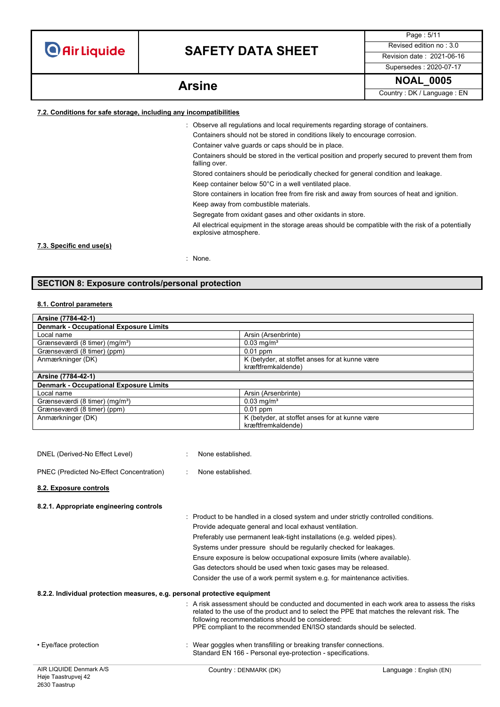# **SAFETY DATA SHEET** Revised edition no : 3.0

Supersedes : 2020-07-17

Page : 5/11

**NOAL\_0005 Arsine**

Country : DK / Language : EN

### **7.2. Conditions for safe storage, including any incompatibilities**

: Observe all regulations and local requirements regarding storage of containers.

Containers should not be stored in conditions likely to encourage corrosion.

Container valve guards or caps should be in place.

Containers should be stored in the vertical position and properly secured to prevent them from falling over.

Stored containers should be periodically checked for general condition and leakage.

Keep container below 50°C in a well ventilated place.

Store containers in location free from fire risk and away from sources of heat and ignition.

Keep away from combustible materials.

Segregate from oxidant gases and other oxidants in store.

All electrical equipment in the storage areas should be compatible with the risk of a potentially explosive atmosphere.

### **7.3. Specific end use(s)**

: None.

### **SECTION 8: Exposure controls/personal protection**

### **8.1. Control parameters**

| Arsine (7784-42-1)                            |                                                |  |
|-----------------------------------------------|------------------------------------------------|--|
| <b>Denmark - Occupational Exposure Limits</b> |                                                |  |
| Local name                                    | Arsin (Arsenbrinte)                            |  |
| Grænseværdi (8 timer) (mg/m <sup>3</sup> )    | $0.03$ mg/m <sup>3</sup>                       |  |
| Grænseværdi (8 timer) (ppm)                   | $0.01$ ppm                                     |  |
| Anmærkninger (DK)                             | K (betyder, at stoffet anses for at kunne være |  |
|                                               | kræftfremkaldende)                             |  |
| Arsine (7784-42-1)                            |                                                |  |
| <b>Denmark - Occupational Exposure Limits</b> |                                                |  |
| Local name                                    | Arsin (Arsenbrinte)                            |  |
| Grænseværdi (8 timer) (mg/m <sup>3</sup> )    | $0.03 \text{ mg/m}^3$                          |  |
| Grænseværdi (8 timer) (ppm)                   | $0.01$ ppm                                     |  |
| Anmærkninger (DK)                             | K (betyder, at stoffet anses for at kunne være |  |
|                                               | kræftfremkaldende)                             |  |

| DNEL (Derived-No Effect Level)                                            | None established.                                                                                                                                                                                                                                                                                                           |  |
|---------------------------------------------------------------------------|-----------------------------------------------------------------------------------------------------------------------------------------------------------------------------------------------------------------------------------------------------------------------------------------------------------------------------|--|
| PNEC (Predicted No-Effect Concentration)                                  | None established.                                                                                                                                                                                                                                                                                                           |  |
| 8.2. Exposure controls                                                    |                                                                                                                                                                                                                                                                                                                             |  |
| 8.2.1. Appropriate engineering controls                                   |                                                                                                                                                                                                                                                                                                                             |  |
|                                                                           | : Product to be handled in a closed system and under strictly controlled conditions.                                                                                                                                                                                                                                        |  |
|                                                                           | Provide adequate general and local exhaust ventilation.                                                                                                                                                                                                                                                                     |  |
|                                                                           | Preferably use permanent leak-tight installations (e.g. welded pipes).                                                                                                                                                                                                                                                      |  |
|                                                                           | Systems under pressure should be regularily checked for leakages.                                                                                                                                                                                                                                                           |  |
|                                                                           | Ensure exposure is below occupational exposure limits (where available).                                                                                                                                                                                                                                                    |  |
|                                                                           | Gas detectors should be used when toxic gases may be released.                                                                                                                                                                                                                                                              |  |
|                                                                           | Consider the use of a work permit system e.g. for maintenance activities.                                                                                                                                                                                                                                                   |  |
| 8.2.2. Individual protection measures, e.g. personal protective equipment |                                                                                                                                                                                                                                                                                                                             |  |
|                                                                           | $\pm$ A risk assessment should be conducted and documented in each work area to assess the risks<br>related to the use of the product and to select the PPE that matches the relevant risk. The<br>following recommendations should be considered:<br>PPE compliant to the recommended EN/ISO standards should be selected. |  |
| • Eye/face protection                                                     | : Wear goggles when transfilling or breaking transfer connections.<br>Standard EN 166 - Personal eye-protection - specifications.                                                                                                                                                                                           |  |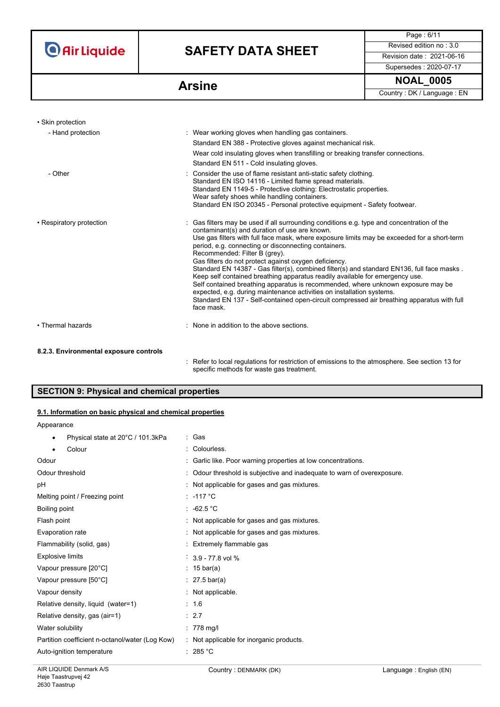# **SAFETY DATA SHEET** Revised edition no : 3.0

Supersedes : 2020-07-17

Page : 6/11

**NOAL\_0005 Arsine**

Country : DK / Language : EN

| • Skin protection        |                                                                                                                                                                                                                                                                                                                                                                                                                                                                                                                                                                                                                                                                                                                                                                                                                                                     |
|--------------------------|-----------------------------------------------------------------------------------------------------------------------------------------------------------------------------------------------------------------------------------------------------------------------------------------------------------------------------------------------------------------------------------------------------------------------------------------------------------------------------------------------------------------------------------------------------------------------------------------------------------------------------------------------------------------------------------------------------------------------------------------------------------------------------------------------------------------------------------------------------|
| - Hand protection        | : Wear working gloves when handling gas containers.<br>Standard EN 388 - Protective gloves against mechanical risk.<br>Wear cold insulating gloves when transfilling or breaking transfer connections.<br>Standard EN 511 - Cold insulating gloves.                                                                                                                                                                                                                                                                                                                                                                                                                                                                                                                                                                                                 |
| - Other                  | : Consider the use of flame resistant anti-static safety clothing.<br>Standard EN ISO 14116 - Limited flame spread materials.<br>Standard EN 1149-5 - Protective clothing: Electrostatic properties.<br>Wear safety shoes while handling containers.<br>Standard EN ISO 20345 - Personal protective equipment - Safety footwear.                                                                                                                                                                                                                                                                                                                                                                                                                                                                                                                    |
| • Respiratory protection | : Gas filters may be used if all surrounding conditions e.g. type and concentration of the<br>contaminant(s) and duration of use are known.<br>Use gas filters with full face mask, where exposure limits may be exceeded for a short-term<br>period, e.g. connecting or disconnecting containers.<br>Recommended: Filter B (grey).<br>Gas filters do not protect against oxygen deficiency.<br>Standard EN 14387 - Gas filter(s), combined filter(s) and standard EN136, full face masks.<br>Keep self contained breathing apparatus readily available for emergency use.<br>Self contained breathing apparatus is recommended, where unknown exposure may be<br>expected, e.g. during maintenance activities on installation systems.<br>Standard EN 137 - Self-contained open-circuit compressed air breathing apparatus with full<br>face mask. |
| • Thermal hazards        | : None in addition to the above sections.                                                                                                                                                                                                                                                                                                                                                                                                                                                                                                                                                                                                                                                                                                                                                                                                           |

### **8.2.3. Environmental exposure controls**

: Refer to local regulations for restriction of emissions to the atmosphere. See section 13 for specific methods for waste gas treatment.

### **SECTION 9: Physical and chemical properties**

### **9.1. Information on basic physical and chemical properties**

| Appearance |
|------------|
|------------|

| Physical state at 20°C / 101.3kPa<br>٠          | : Gas                                                                   |
|-------------------------------------------------|-------------------------------------------------------------------------|
| Colour<br>٠                                     | Colourless.                                                             |
| Odour                                           | : Garlic like. Poor warning properties at low concentrations.           |
| Odour threshold                                 | : Odour threshold is subjective and inadequate to warn of overexposure. |
| рH                                              | : Not applicable for gases and gas mixtures.                            |
| Melting point / Freezing point                  | : -117 °C                                                               |
| Boiling point                                   | : $-62.5\degree$ C                                                      |
| Flash point                                     | : Not applicable for gases and gas mixtures.                            |
| Evaporation rate                                | : Not applicable for gases and gas mixtures.                            |
| Flammability (solid, gas)                       | : Extremely flammable gas                                               |
| <b>Explosive limits</b>                         | $3.9 - 77.8$ vol %                                                      |
| Vapour pressure [20°C]                          | : 15 bar(a)                                                             |
| Vapour pressure [50°C]                          | : $27.5 \,\text{bar(a)}$                                                |
| Vapour density                                  | : Not applicable.                                                       |
| Relative density, liquid (water=1)              | : 1.6                                                                   |
| Relative density, gas (air=1)                   | $\therefore$ 2.7                                                        |
| Water solubility                                | $: 778$ mg/l                                                            |
| Partition coefficient n-octanol/water (Log Kow) | : Not applicable for inorganic products.                                |
| Auto-ignition temperature                       | : 285 °C                                                                |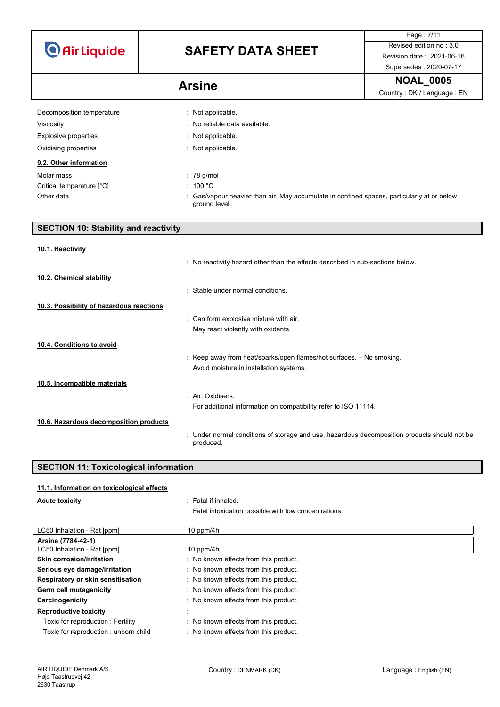| <b>O</b> Air Liquide |  |  |  |
|----------------------|--|--|--|
|                      |  |  |  |

# **SAFETY DATA SHEET** Revised edition no : 3.0

Supersedes : 2020-07-17

Page : 7/11

## Arsine

| <b>NOAL 0005</b> |  |
|------------------|--|
|------------------|--|

Country : DK / Language : EN

| Decomposition temperature   | : Not applicable.                                                                                         |
|-----------------------------|-----------------------------------------------------------------------------------------------------------|
| Viscosity                   | : No reliable data available.                                                                             |
| <b>Explosive properties</b> | : Not applicable.                                                                                         |
| Oxidising properties        | : Not applicable.                                                                                         |
| 9.2. Other information      |                                                                                                           |
| Molar mass                  | $: 78$ g/mol                                                                                              |
| Critical temperature [°C]   | : 100 °C                                                                                                  |
| Other data                  | Gas/vapour heavier than air. May accumulate in confined spaces, particularly at or below<br>ground level. |

| <b>SECTION 10: Stability and reactivity</b> |                                                                                                                 |
|---------------------------------------------|-----------------------------------------------------------------------------------------------------------------|
| 10.1. Reactivity                            | : No reactivity hazard other than the effects described in sub-sections below.                                  |
| 10.2. Chemical stability                    | : Stable under normal conditions.                                                                               |
| 10.3. Possibility of hazardous reactions    | : Can form explosive mixture with air.<br>May react violently with oxidants.                                    |
| 10.4. Conditions to avoid                   | : Keep away from heat/sparks/open flames/hot surfaces. - No smoking.<br>Avoid moisture in installation systems. |
| 10.5. Incompatible materials                | : Air, Oxidisers.<br>For additional information on compatibility refer to ISO 11114.                            |
| 10.6. Hazardous decomposition products      | : Under normal conditions of storage and use, hazardous decomposition products should not be<br>produced.       |

## **SECTION 11: Toxicological information**

### **11.1. Information on toxicological effects**

**Acute toxicity intervalled has a state of the state of the state of the state of the state of the state of the state of the state of the state of the state of the state of the state of the state of the state of the st** 

Fatal intoxication possible with low concentrations.

| LC50 Inhalation - Rat [ppm]          | $10$ ppm/4h                           |
|--------------------------------------|---------------------------------------|
| Arsine (7784-42-1)                   |                                       |
| LC50 Inhalation - Rat [ppm]          | 10 ppm/4 $h$                          |
| <b>Skin corrosion/irritation</b>     | : No known effects from this product. |
| Serious eye damage/irritation        | : No known effects from this product. |
| Respiratory or skin sensitisation    | : No known effects from this product. |
| Germ cell mutagenicity               | : No known effects from this product. |
| Carcinogenicity                      | : No known effects from this product. |
| <b>Reproductive toxicity</b>         |                                       |
| Toxic for reproduction: Fertility    | : No known effects from this product. |
| Toxic for reproduction: unborn child | : No known effects from this product. |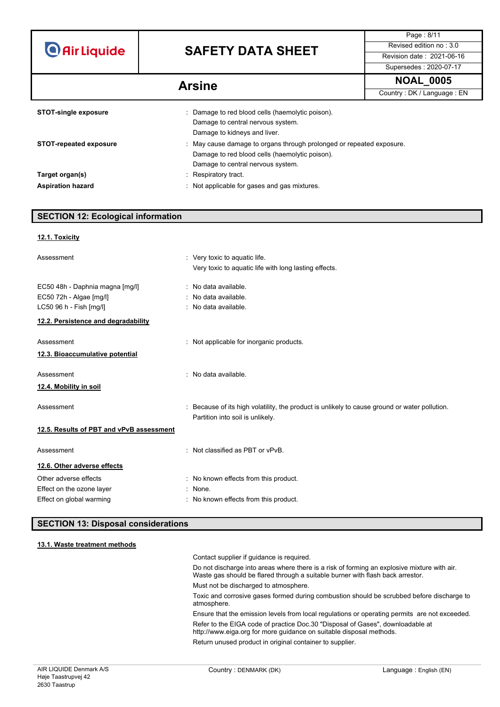# **SAFETY DATA SHEET** Revised edition no : 3.0

Supersedes : 2020-07-17

Page : 8/11

**NOAL\_0005 Arsine**

Country : DK / Language : EN

| <b>STOT-single exposure</b>   | : Damage to red blood cells (haemolytic poison).                     |
|-------------------------------|----------------------------------------------------------------------|
|                               | Damage to central nervous system.                                    |
|                               | Damage to kidneys and liver.                                         |
| <b>STOT-repeated exposure</b> | : May cause damage to organs through prolonged or repeated exposure. |
|                               | Damage to red blood cells (haemolytic poison).                       |
|                               | Damage to central nervous system.                                    |
| Target organ(s)               | : Respiratory tract.                                                 |
| <b>Aspiration hazard</b>      | Not applicable for gases and gas mixtures.                           |

## **SECTION 12: Ecological information**

| 12.1. Toxicity                                                 |                                                                                                                                   |
|----------------------------------------------------------------|-----------------------------------------------------------------------------------------------------------------------------------|
| Assessment                                                     | : Very toxic to aquatic life.<br>Very toxic to aquatic life with long lasting effects.                                            |
| EC50 48h - Daphnia magna [mg/l]<br>EC50 72h - Algae [mg/l]     | : No data available.<br>: No data available.                                                                                      |
| LC50 96 h - Fish [mg/l]<br>12.2. Persistence and degradability | : No data available.                                                                                                              |
| Assessment<br>12.3. Bioaccumulative potential                  | : Not applicable for inorganic products.                                                                                          |
| Assessment<br>12.4. Mobility in soil                           | : No data available.                                                                                                              |
| Assessment                                                     | : Because of its high volatility, the product is unlikely to cause ground or water pollution.<br>Partition into soil is unlikely. |
| 12.5. Results of PBT and vPvB assessment                       |                                                                                                                                   |
| Assessment                                                     | : Not classified as PBT or vPvB.                                                                                                  |
| 12.6. Other adverse effects                                    |                                                                                                                                   |
| Other adverse effects                                          | : No known effects from this product.                                                                                             |
| Effect on the ozone layer<br>Effect on global warming          | : None.<br>: No known effects from this product.                                                                                  |

### **SECTION 13: Disposal considerations**

### **13.1. Waste treatment methods**

Contact supplier if guidance is required.

Do not discharge into areas where there is a risk of forming an explosive mixture with air. Waste gas should be flared through a suitable burner with flash back arrestor. Must not be discharged to atmosphere.

Toxic and corrosive gases formed during combustion should be scrubbed before discharge to atmosphere.

Ensure that the emission levels from local regulations or operating permits are not exceeded. Refer to the EIGA code of practice Doc.30 "Disposal of Gases", downloadable at http://www.eiga.org for more guidance on suitable disposal methods.

Return unused product in original container to supplier.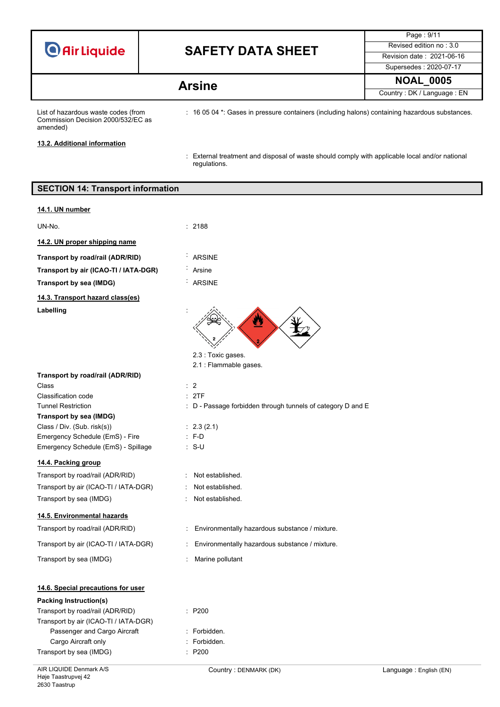|  |  | <b>O</b> Air Liquide |
|--|--|----------------------|

## **SAFETY DATA SHEET** Revised edition no : 3.0

Page : 9/11 Supersedes : 2020-07-17 **NOAL\_0005 Arsine**

Country : DK / Language : EN

List of hazardous waste codes (from Commission Decision 2000/532/EC as amended)

: 16 05 04 \*: Gases in pressure containers (including halons) containing hazardous substances.

**13.2. Additional information**

: External treatment and disposal of waste should comply with applicable local and/or national regulations.

## AIR LIQUIDE Denmark A/S Country : DENMARK (DK) Country : DENMARK (DK) **SECTION 14: Transport information 14.1. UN number** UN-No. : 2188 **14.2. UN proper shipping name Transport by road/rail (ADR/RID)** : ARSINE **Transport by air (ICAO-TI / IATA-DGR)** : Arsine **Transport by sea (IMDG)** : ARSINE **14.3. Transport hazard class(es)** Labelling 2.3 : Toxic gases. 2.1 : Flammable gases. **Transport by road/rail (ADR/RID)** Class : 2 Classification code : 2TF Tunnel Restriction **in the COV** control of D - Passage forbidden through tunnels of category D and E **Transport by sea (IMDG)** Class / Div. (Sub. risk(s)) : 2.3 (2.1) Emergency Schedule (EmS) - Fire : F-D Emergency Schedule (EmS) - Spillage : S-U **14.4. Packing group** Transport by road/rail (ADR/RID) : Not established. Transport by air (ICAO-TI / IATA-DGR) : Not established. Transport by sea (IMDG)  $\qquad \qquad$ : Not established. **14.5. Environmental hazards** Transport by road/rail (ADR/RID) : Environmentally hazardous substance / mixture. Transport by air (ICAO-TI / IATA-DGR) : Environmentally hazardous substance / mixture. Transport by sea (IMDG) : Marine pollutant **14.6. Special precautions for user Packing Instruction(s)** Transport by road/rail (ADR/RID) : P200 Transport by air (ICAO-TI / IATA-DGR) Passenger and Cargo Aircraft : Forbidden. Cargo Aircraft only **Example 20** Section 2011 : Forbidden. Transport by sea (IMDG) : P200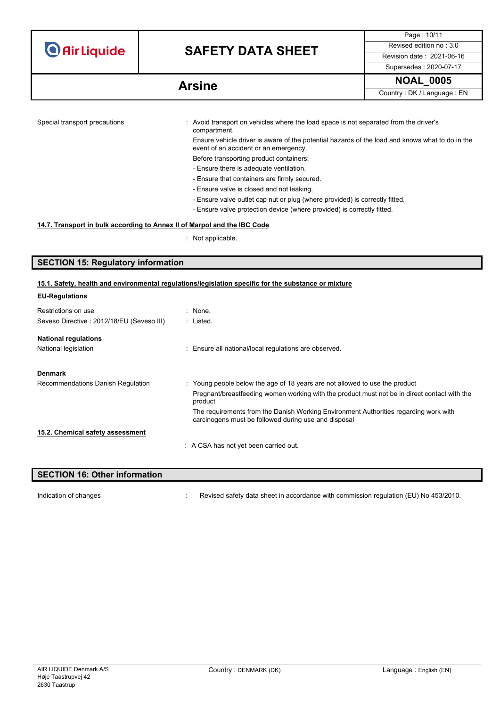# **SAFETY DATA SHEET** Revised edition no : 3.0

Supersedes : 2020-07-17

Page : 10/11

**NOAL\_0005 Arsine** Country : DK / Language : EN

| Special transport precautions | : Avoid transport on vehicles where the load space is not separated from the driver's<br>compartment.                                    |
|-------------------------------|------------------------------------------------------------------------------------------------------------------------------------------|
|                               | Ensure vehicle driver is aware of the potential hazards of the load and knows what to do in the<br>event of an accident or an emergency. |
|                               | Before transporting product containers:                                                                                                  |
|                               | - Ensure there is adequate ventilation.                                                                                                  |
|                               | - Ensure that containers are firmly secured.                                                                                             |
|                               | - Ensure valve is closed and not leaking.                                                                                                |
|                               | - Ensure valve outlet cap nut or plug (where provided) is correctly fitted.                                                              |
|                               | - Ensure valve protection device (where provided) is correctly fitted.                                                                   |
|                               |                                                                                                                                          |

### **14.7. Transport in bulk according to Annex II of Marpol and the IBC Code**

: Not applicable.

### **SECTION 15: Regulatory information**

### **15.1. Safety, health and environmental regulations/legislation specific for the substance or mixture**

| EU-Regulations                            |                                                                                                                                              |
|-------------------------------------------|----------------------------------------------------------------------------------------------------------------------------------------------|
| Restrictions on use                       | $:$ None.                                                                                                                                    |
| Seveso Directive: 2012/18/EU (Seveso III) | : Listed.                                                                                                                                    |
| <b>National regulations</b>               |                                                                                                                                              |
| National legislation                      | : Ensure all national/local regulations are observed.                                                                                        |
| <b>Denmark</b>                            |                                                                                                                                              |
| Recommendations Danish Regulation         | : Young people below the age of 18 years are not allowed to use the product                                                                  |
|                                           | Pregnant/breastfeeding women working with the product must not be in direct contact with the<br>product                                      |
|                                           | The requirements from the Danish Working Environment Authorities regarding work with<br>carcinogens must be followed during use and disposal |
| 15.2. Chemical safety assessment          |                                                                                                                                              |
|                                           | : A CSA has not yet been carried out.                                                                                                        |
|                                           |                                                                                                                                              |

### **SECTION 16: Other information**

**EU-Regulations**

Indication of changes **indication of changes** : Revised safety data sheet in accordance with commission regulation (EU) No 453/2010.